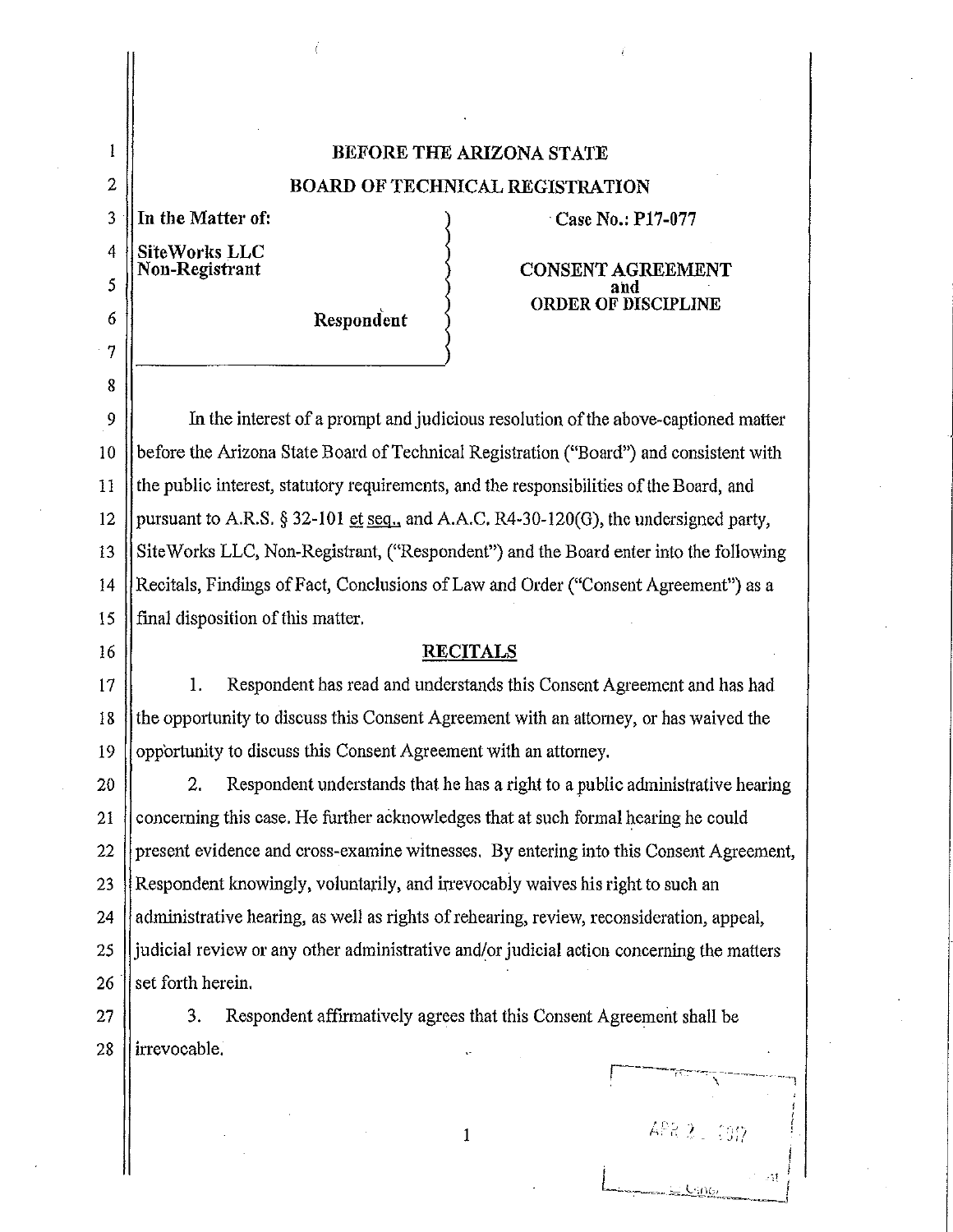# **BEFORE THE ARIZONA STATE BOARD OF TECHNICAL REGISTRATION**

**SiteWorks LLC** 

2

 $\mathbf{1}$ 

3

4

In the Matter of: *Case No.: P17-077* 

**Respond'ent** 

**Non-Registrant CONSENT AGREEMENT and ORDER OF DISCIPLINE** 

In the interest of a prompt and judicious resolution of the above-captioned matter before the Arizona State Board of Technical Registration ("Board") and consistent with the public interest, statutory requirements, and the responsibilities of the Board, and pursuant to A.R.S. § 32-101 et seq., and A.A.C. R4-30-120(G), the undersigned party, Site Works LLC, Non-Registrant, ("Respondent") and the Board enter into the following Recitals, Findings of Fact, Conclusions of Law and Order ("Consent Agreement") as a final disposition of this matter.

# **RECITALS**

1. Respondent has read and understands this Consent Agreement and has had the opportunity to discuss this Consent Agreement with an attorney, or has waived the opportunity to discuss this Consent Agreement with an attorney.

26 2. Respondent understands that he has a right to a public administrative hearing concerning this case. He further acknowledges that at such formal hearing he could present evidence and cross-examine witnesses. By entering into this Consent Agreement, Respondent knowingly, voluntarily, and irrevocably waives his right to such an administrative hearing, as well as rights of rehearing, review, reconsideration, appeal, judicial review or any other administrative and/or judicial action concerning the matters set forth herein.

1

APR 2 2012

27 28 3. Respondent affirmatively agrees that this Consent Agreement shall be irrevocable.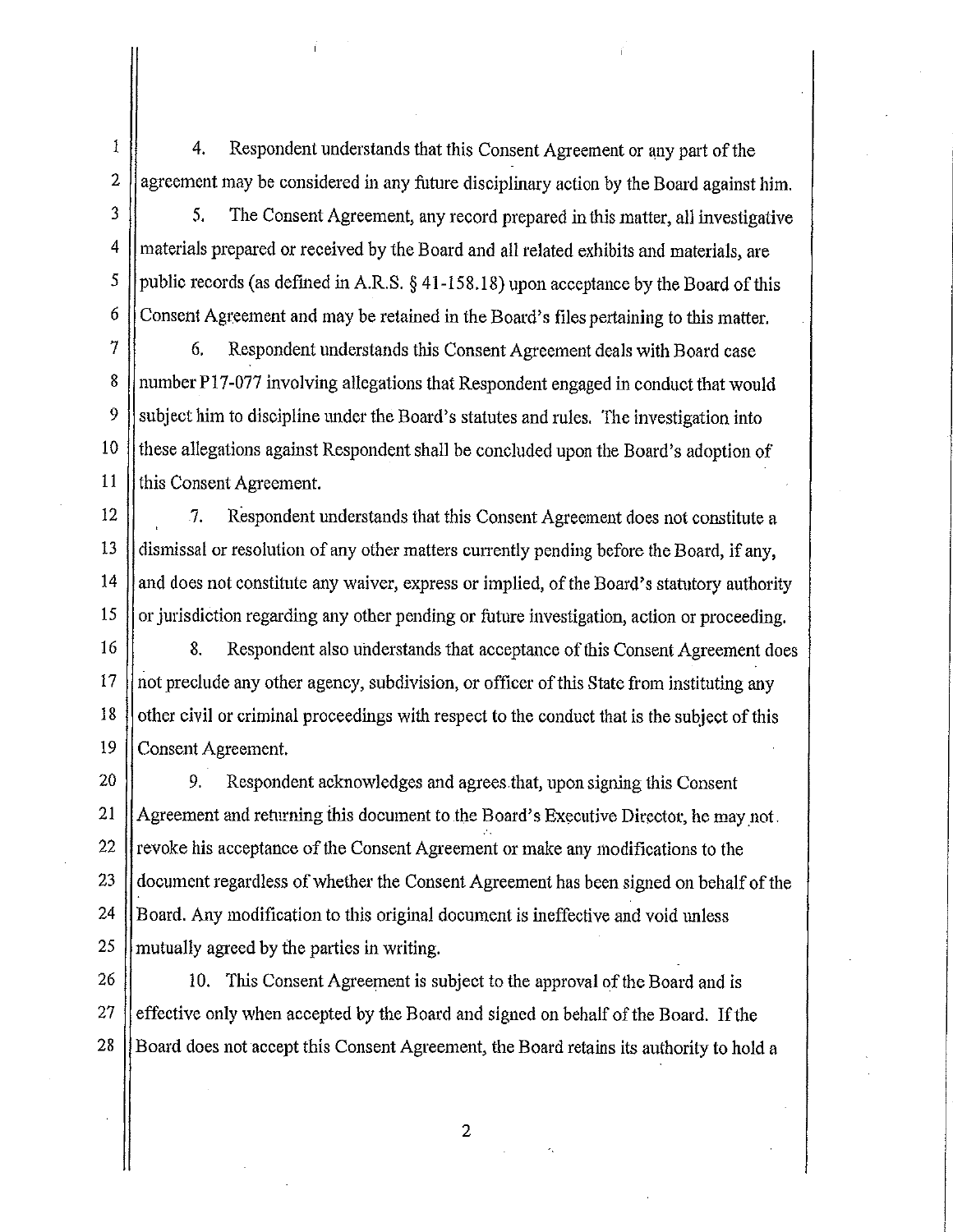4. Respondent understands that this Consent Agreement or any part of the agreement may be considered in any future disciplinary action by the Board against him.

1

2

3

4

*5* 

6

13

14

15

21

23

25

5. The Consent Agreement, any record prepared in this matter, all investigative materials prepared or received by the Board and all related exhibits and materials, are public records (as defined in A.R.S. § [41-158.18\)](https://41-158.18) upon acceptance by the Board of this Consent Agreement and may be retained in the Board's files pertaining to this matter.

7 8 9 10 11 6. Respondent understands this Consent Agreement deals with Board case number Pl 7-077 involving allegations that Respondent engaged in conduct that would subject him to discipline under the Board's statutes and rules. The investigation into these allegations against Respondent shall be concluded upon the Board's adoption of this Consent Agreement.

12 7. Respondent understands that this Consent Agreement does not constitute a dismissal or resolution of any other matters currently pending before the Board, if any, and does not constitute any waiver, express or implied, of the Board's statutory authority or jurisdiction regarding any other pending or future investigation, action or proceeding.

16 17 18 19 8. Respondent also understands that acceptance of this Consent Agreement does not preclude any other agency, subdivision, or officer of this State from instituting any other civil or criminal proceedings with respect to the conduct that is the subject of this Consent Agreement.

20 22 24 9. Respondent acknowledges and agrees that, upon signing this Consent Agreement and returning this document to the Board's Executive Director, he may not. revoke his acceptance of the Consent Agreement or make any modifications to the document regardless of whether the Consent Agreement has been signed on behalf of the Board. Any modification to this original document is ineffective and void unless mutually agreed by the parties in writing.

26 27 28 10. This Consent Agreement is subject to the approval of the Board and is effective only when accepted by the Board and signed on behalf of the Board. If the Board does not accept this Consent Agreement, the Board retains its authority to hold a

2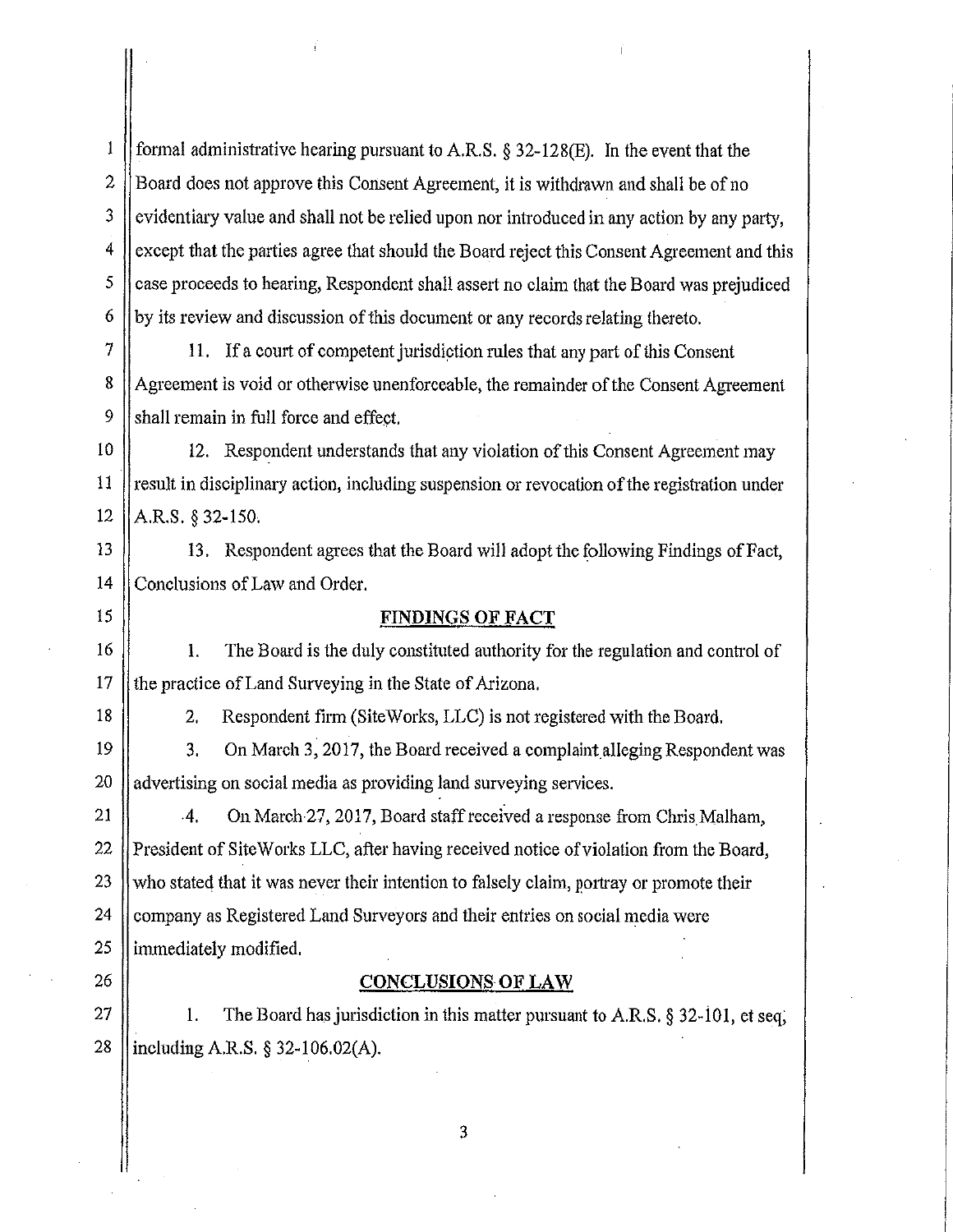1 2 3 4 5 6 formal administrative hearing pursuant to A.R.S.  $\S 32-128(E)$ . In the event that the Board does not approve this Consent Agreement, it is withdrawn and shall be of no evidentiary value and shall not be relied upon nor introduced in any action by any party, except that the parties agree that should the Board reject this Consent Agreement and this case proceeds to hearing, Respondent shall assert no claim that the Board was prejudiced by its review and discussion of this document or any records relating thereto.

11. If a court of competent jurisdiction rules that any part of this Consent Agreement is void or otherwise unenforceable, the remainder of the Consent Agreement shall remain in full force and effect.

10 11 12 12. Respondent understands that any violation of this Consent Agreement may result in disciplinary action, including suspension or revocation of the registration under A.RS. § 32-150.

13 14 13. Respondent agrees that the Board will adopt the following Findings of Fact, Conclusions of Law and Order.

#### **FINDINGS OF FACT**

1. The Board is the duly constituted authority for the regulation and control of the practice of Land Surveying in the State of Arizona.

18

15

16

17

7

8

9

2. Respondent firm (Site Works, LLC) is not registered with the Board.

19 20 3. On March 3, 2017, the Board received a complaint alleging Respondent was advertising on social media as providing land surveying services.

21 22 23 24 25 -4. On March 27, 2017, Board staff received a response from Chris Malham, President of Site Works LLC, after having received notice of violation from the Board, who stated that it was never their intention to falsely claim, portray or promote their company as Registered Land Surveyors and their entries on social media were immediately modified.

26

## **CONCLUSIONS OF LAW**

27 28 1. The Board has jurisdiction in this matter pursuant to A.RS. § 32-i0 I, et seq, including A.RS.§ 32-106.02(A).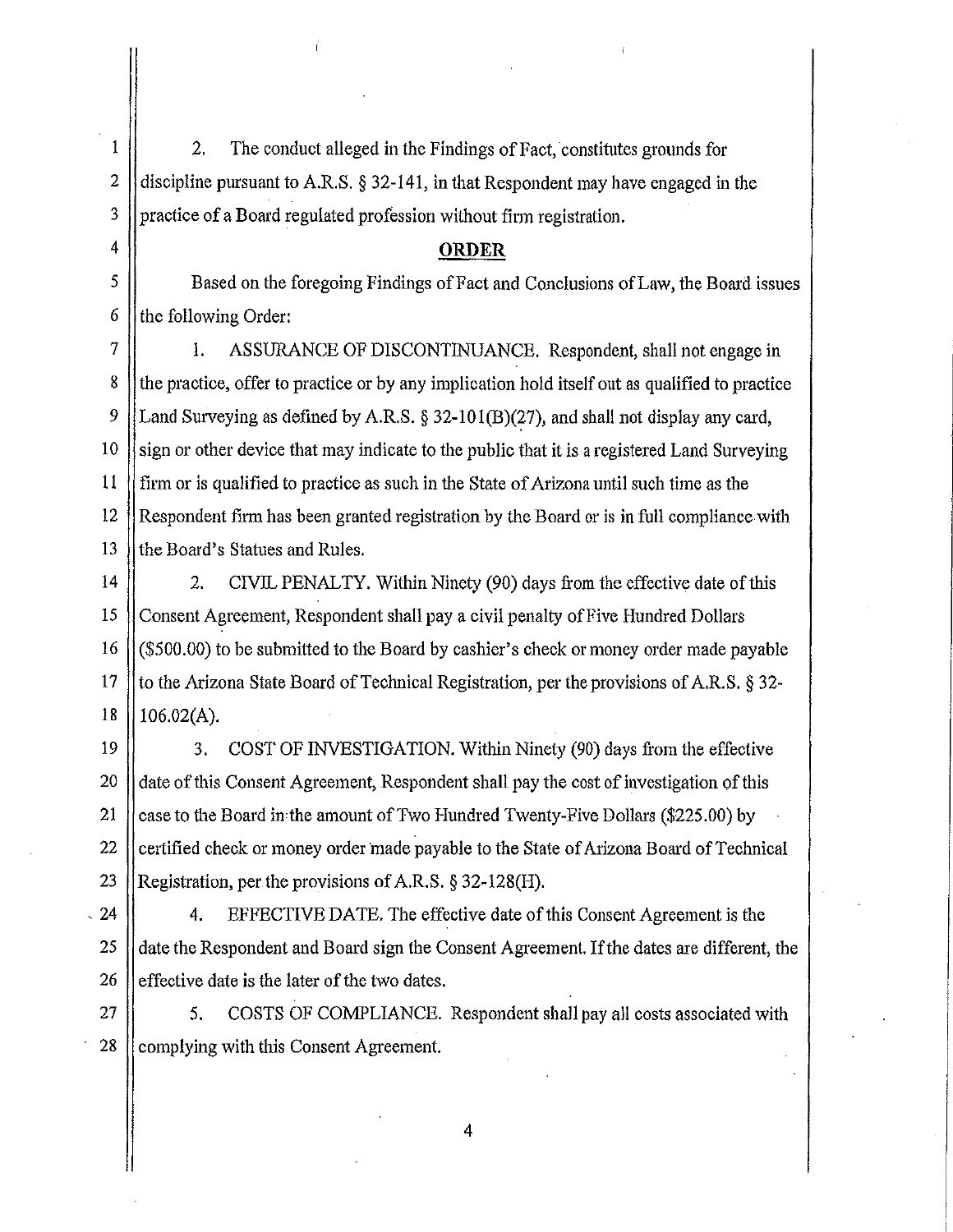2. The conduct alleged in the Findings of Fact, constitutes grounds for discipline pursuant to A.R.S. § 32-141, in that Respondent may have engaged in the practice of a Board regulated profession without firm registration.

## **ORDER**

Based on the foregoing Findings of Fact and Conclusions of Law, the Board issues the following Order:

7 1. ASSURANCE OF DISCONTINUANCE. Respondent, shall not engage in the practice, offer to practice or by any implication hold itself out as qualified to practice Land Surveying as defined by A.R.S. § 32-101(B)(27), and shall not display any card, sign or other device that may indicate to the public that it is a registered Land Surveying firm or is qualified to practice as such in the State of Arizona until such time as the Respondent firm has been granted registration by the Board or is in full compliance with the Board's Statues and Rules.

2. CIVIL PENALTY. Within Ninety (90) days from the effective date of this Consent Agreement, Respondent shall pay a civil penalty of Five Hundred DolJars (\$500.00) to be submitted to the Board by cashier's check or money order made payable to the Arizona State Board of Technical Registration, per the provisions of A.RS. § 32- 106.02(A).

3. COST OF INVESTIGATION. Within Ninety (90) days from the effective date of this Consent Agreement, Respondent shall pay the cost of investigation of this case to the Board inthe amount of Two Hundred Twenty-Five Dollars (\$225.00) by certified check or money order made payable to the State of Arizona Board of Technical Registration, per the provisions of A.R.S. § 32-128(H).

, 4. EFFECTIVE DATE. The effective date of this Consent Agreement is the date the Respondent and Board sign the Consent Agreement. If the dates are different, the effective date is the later of the two dates.

27 28 5. COSTS OF COMPLIANCE. Respondent shall pay all costs associated with complying with this Consent Agreement.

4

26

1

2

3

4

5

6